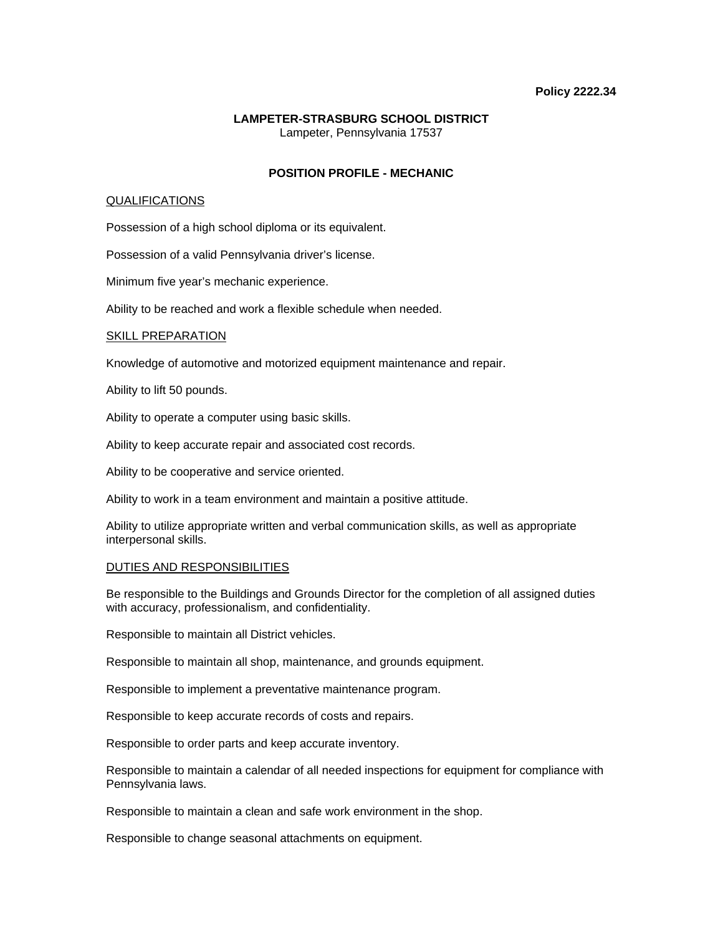## **Policy 2222.34**

# **LAMPETER-STRASBURG SCHOOL DISTRICT**  Lampeter, Pennsylvania 17537

# **POSITION PROFILE - MECHANIC**

## QUALIFICATIONS

Possession of a high school diploma or its equivalent.

Possession of a valid Pennsylvania driver's license.

Minimum five year's mechanic experience.

Ability to be reached and work a flexible schedule when needed.

## SKILL PREPARATION

Knowledge of automotive and motorized equipment maintenance and repair.

Ability to lift 50 pounds.

Ability to operate a computer using basic skills.

Ability to keep accurate repair and associated cost records.

Ability to be cooperative and service oriented.

Ability to work in a team environment and maintain a positive attitude.

Ability to utilize appropriate written and verbal communication skills, as well as appropriate interpersonal skills.

## DUTIES AND RESPONSIBILITIES

Be responsible to the Buildings and Grounds Director for the completion of all assigned duties with accuracy, professionalism, and confidentiality.

Responsible to maintain all District vehicles.

Responsible to maintain all shop, maintenance, and grounds equipment.

Responsible to implement a preventative maintenance program.

Responsible to keep accurate records of costs and repairs.

Responsible to order parts and keep accurate inventory.

Responsible to maintain a calendar of all needed inspections for equipment for compliance with Pennsylvania laws.

Responsible to maintain a clean and safe work environment in the shop.

Responsible to change seasonal attachments on equipment.